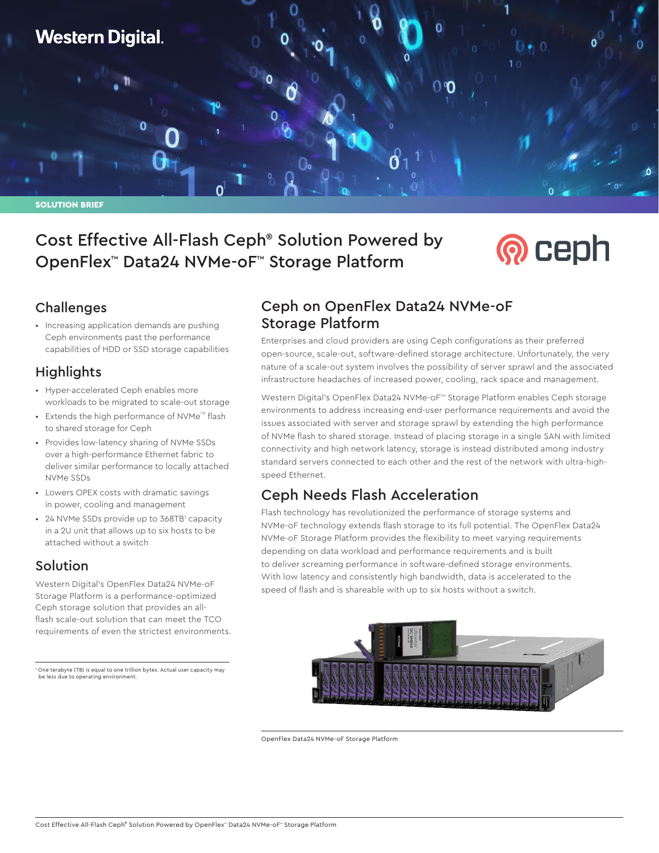## **Western Digital.**

SOLUTION BRIEF

## Cost Effective All-Flash Ceph® Solution Powered by OpenFlex™ Data24 NVMe-oF™ Storage Platform

# **®** ceph

#### Challenges

• Increasing application demands are pushing Ceph environments past the performance capabilities of HDD or SSD storage capabilities

#### **Highlights**

- Hyper-accelerated Ceph enables more workloads to be migrated to scale-out storage
- $\bullet$  Extends the high performance of NVMe<sup>TM</sup> flash to shared storage for Ceph
- Provides low-latency sharing of NVMe SSDs over a high-performance Ethernet fabric to deliver similar performance to locally attached NVMe SSDs
- Lowers OPEX costs with dramatic savings in power, cooling and management
- 24 NVMe SSDs provide up to 368TB<sup>1</sup> capacity in a 2U unit that allows up to six hosts to be attached without a switch

#### Solution

Western Digital's OpenFlex Data24 NVMe-oF Storage Platform is a performance-optimized Ceph storage solution that provides an allflash scale-out solution that can meet the TCO requirements of even the strictest environments.

1 One terabyte (TB) is equal to one trillion bytes. Actual user capacity may be less due to operating environment.

#### Ceph on OpenFlex Data24 NVMe-oF Storage Platform

Enterprises and cloud providers are using Ceph configurations as their preferred open-source, scale-out, software-defined storage architecture. Unfortunately, the very nature of a scale-out system involves the possibility of server sprawl and the associated infrastructure headaches of increased power, cooling, rack space and management.

Western Digital's OpenFlex Data24 NVMe-oF™ Storage Platform enables Ceph storage environments to address increasing end-user performance requirements and avoid the issues associated with server and storage sprawl by extending the high performance of NVMe flash to shared storage. Instead of placing storage in a single SAN with limited connectivity and high network latency, storage is instead distributed among industry standard servers connected to each other and the rest of the network with ultra-highspeed Ethernet.

### Ceph Needs Flash Acceleration

Flash technology has revolutionized the performance of storage systems and NVMe-oF technology extends flash storage to its full potential. The OpenFlex Data24 NVMe-oF Storage Platform provides the flexibility to meet varying requirements depending on data workload and performance requirements and is built to deliver screaming performance in software-defined storage environments. With low latency and consistently high bandwidth, data is accelerated to the speed of flash and is shareable with up to six hosts without a switch.



OpenFlex Data24 NVMe-oF Storage Platform